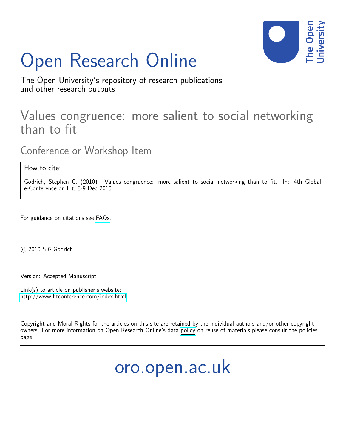# Open Research Online



The Open University's repository of research publications and other research outputs

# Values congruence: more salient to social networking than to fit

Conference or Workshop Item

How to cite:

Godrich, Stephen G. (2010). Values congruence: more salient to social networking than to fit. In: 4th Global e-Conference on Fit, 8-9 Dec 2010.

For guidance on citations see [FAQs.](http://oro.open.ac.uk/help/helpfaq.html)

c 2010 S.G.Godrich

Version: Accepted Manuscript

Link(s) to article on publisher's website: <http://www.fitconference.com/index.html>

Copyright and Moral Rights for the articles on this site are retained by the individual authors and/or other copyright owners. For more information on Open Research Online's data [policy](http://oro.open.ac.uk/policies.html) on reuse of materials please consult the policies page.

oro.open.ac.uk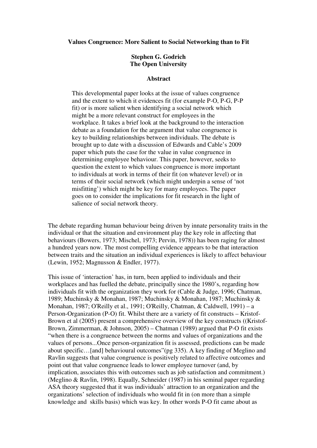**Values Congruence: More Salient to Social Networking than to Fit** 

### **Stephen G. Godrich The Open University**

#### **Abstract**

This developmental paper looks at the issue of values congruence and the extent to which it evidences fit (for example P-O, P-G, P-P fit) or is more salient when identifying a social network which might be a more relevant construct for employees in the workplace. It takes a brief look at the background to the interaction debate as a foundation for the argument that value congruence is key to building relationships between individuals. The debate is brought up to date with a discussion of Edwards and Cable's 2009 paper which puts the case for the value in value congruence in determining employee behaviour. This paper, however, seeks to question the extent to which values congruence is more important to individuals at work in terms of their fit (on whatever level) or in terms of their social network (which might underpin a sense of 'not misfitting') which might be key for many employees. The paper goes on to consider the implications for fit research in the light of salience of social network theory.

The debate regarding human behaviour being driven by innate personality traits in the individual or that the situation and environment play the key role in affecting that behaviours (Bowers, 1973; Mischel, 1973; Pervin, 1978)) has been raging for almost a hundred years now. The most compelling evidence appears to be that interaction between traits and the situation an individual experiences is likely to affect behaviour (Lewin, 1952; Magnusson & Endler, 1977).

This issue of 'interaction' has, in turn, been applied to individuals and their workplaces and has fuelled the debate, principally since the 1980's, regarding how individuals fit with the organization they work for (Cable & Judge, 1996; Chatman, 1989; Muchinsky & Monahan, 1987; Muchinsky & Monahan, 1987; Muchinsky & Monahan, 1987; O'Reilly et al., 1991; O'Reilly, Chatman, & Caldwell, 1991) – a Person-Organization (P-O) fit. Whilst there are a variety of fit constructs – Kristof-Brown et al (2005) present a comprehensive overview of the key constructs ((Kristof-Brown, Zimmerman, & Johnson, 2005) – Chatman (1989) argued that P-O fit exists "when there is a congruence between the norms and values of organizations and the values of persons...Once person-organization fit is assessed, predictions can be made about specific…[and] behavioural outcomes"(pg 335). A key finding of Meglino and Ravlin suggests that value congruence is positively related to affective outcomes and point out that value congruence leads to lower employee turnover (and, by implication, associates this with outcomes such as job satisfaction and commitment.) (Meglino & Ravlin, 1998). Equally, Schneider (1987) in his seminal paper regarding ASA theory suggested that it was individuals' attraction to an organization and the organizations' selection of individuals who would fit in (on more than a simple knowledge and skills basis) which was key. In other words P-O fit came about as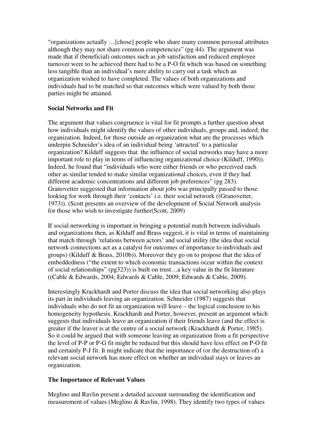"organizations actually …[chose] people who share many common personal attributes although they may not share common competencies" (pg 44). The argument was made that if (beneficial) outcomes such as job satisfaction and reduced employee turnover were to be achieved there had to be a P-O fit which was based on something less tangible than an individual's mere ability to carry out a task which an organization wished to have completed. The values of both organizations and individuals had to be matched so that outcomes which were valued by both those parties might be attained.

# **Social Networks and Fit**

The argument that values congruence is vital for fit prompts a further question about how individuals might identify the values of other individuals, groups and, indeed, the organization. Indeed, for those outside an organization what are the processes which underpin Schneider's idea of an individual being 'attracted' to a particular organization? Kilduff suggests that the influence of social networks may have a more important role to play in terms of influencing organizational choice (Kilduff, 1990)). Indeed, he found that "individuals who were either friends or who perceived each other as similar tended to make similar organizational choices, even if they had different academic concentrations and different job preferences" (pg 283). Granovetter suggested that information about jobs was principally passed to those looking for work through their 'contacts' i.e. their social network ((Granovetter, 1973)). (Scott presents an overview of the development of Social Network analysis for those who wish to investigate further(Scott, 2009)

If social networking is important in bringing a potential match between individuals and organizations then, as Kilduff and Brass suggest, it is vital in terms of maintaining that match through 'relations between actors' and social utility (the idea that social network connections act as a catalyst for outcomes of importance to individuals and groups) (Kilduff & Brass, 2010b)). Moreover they go on to propose that the idea of embeddedness ("the extent to which economic transactions occur within the context of social relationships" (pg323)) is built on trust…a key value in the fit literature ((Cable & Edwards, 2004; Edwards & Cable, 2009; Edwards & Cable, 2009).

Interestingly Krackhardt and Porter discuss the idea that social networking also plays its part in individuals leaving an organization. Schneider (1987) suggests that individuals who do not fit an organization will leave – the logical conclusion to his homogeneity hypothesis. Krackhardt and Porter, however, present an argument which suggests that individuals leave an organization if their friends leave (and the effect is greater if the leaver is at the centre of a social network (Krackhardt & Porter, 1985). So it could be argued that with someone leaving an organization from a fit perspective the level of P-P or P-G fit might be reduced but this should have less effect on P-O fit and certainly P-J fit. It might indicate that the importance of (or the destruction of) a relevant social network has more effect on whether an individual stays or leaves an organization.

## **The Importance of Relevant Values**

Meglino and Ravlin present a detailed account surrounding the identification and measurement of values (Meglino & Ravlin, 1998). They identify two types of values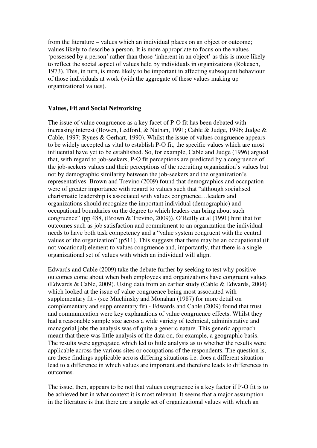from the literature – values which an individual places on an object or outcome; values likely to describe a person. It is more appropriate to focus on the values 'possessed by a person' rather than those 'inherent in an object' as this is more likely to reflect the social aspect of values held by individuals in organizations (Rokeach, 1973). This, in turn, is more likely to be important in affecting subsequent behaviour of those individuals at work (with the aggregate of these values making up organizational values).

#### **Values, Fit and Social Networking**

The issue of value congruence as a key facet of P-O fit has been debated with increasing interest (Bowen, Ledford, & Nathan, 1991; Cable & Judge, 1996; Judge & Cable, 1997; Rynes & Gerhart, 1990). Whilst the issue of values congruence appears to be widely accepted as vital to establish P-O fit, the specific values which are most influential have yet to be established. So, for example, Cable and Judge (1996) argued that, with regard to job-seekers, P-O fit perceptions are predicted by a congruence of the job-seekers values and their perceptions of the recruiting organization's values but not by demographic similarity between the job-seekers and the organization's representatives. Brown and Trevino (2009) found that demographics and occupation were of greater importance with regard to values such that "although socialised charismatic leadership is associated with values congruence…leaders and organizations should recognize the important individual (demographic) and occupational boundaries on the degree to which leaders can bring about such congruence" (pp 488, (Brown & Trevino, 2009)). O'Reilly et al (1991) hint that for outcomes such as job satisfaction and commitment to an organization the individual needs to have both task competency and a "value system congruent with the central values of the organization" (p511). This suggests that there may be an occupational (if not vocational) element to values congruence and, importantly, that there is a single organizational set of values with which an individual will align.

Edwards and Cable (2009) take the debate further by seeking to test why positive outcomes come about when both employees and organizations have congruent values (Edwards & Cable, 2009). Using data from an earlier study (Cable & Edwards, 2004) which looked at the issue of value congruence being most associated with supplementary fit - (see Muchinsky and Monahan (1987) for more detail on complementary and supplementary fit) - Edwards and Cable (2009) found that trust and communication were key explanations of value congruence effects. Whilst they had a reasonable sample size across a wide variety of technical, administrative and managerial jobs the analysis was of quite a generic nature. This generic approach meant that there was little analysis of the data on, for example, a geographic basis. The results were aggregated which led to little analysis as to whether the results were applicable across the various sites or occupations of the respondents. The question is, are these findings applicable across differing situations i.e. does a different situation lead to a difference in which values are important and therefore leads to differences in outcomes.

The issue, then, appears to be not that values congruence is a key factor if P-O fit is to be achieved but in what context it is most relevant. It seems that a major assumption in the literature is that there are a single set of organizational values with which an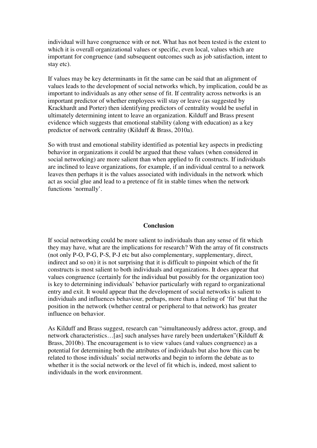individual will have congruence with or not. What has not been tested is the extent to which it is overall organizational values or specific, even local, values which are important for congruence (and subsequent outcomes such as job satisfaction, intent to stay etc).

If values may be key determinants in fit the same can be said that an alignment of values leads to the development of social networks which, by implication, could be as important to individuals as any other sense of fit. If centrality across networks is an important predictor of whether employees will stay or leave (as suggested by Krackhardt and Porter) then identifying predictors of centrality would be useful in ultimately determining intent to leave an organization. Kilduff and Brass present evidence which suggests that emotional stability (along with education) as a key predictor of network centrality (Kilduff & Brass, 2010a).

So with trust and emotional stability identified as potential key aspects in predicting behavior in organizations it could be argued that these values (when considered in social networking) are more salient than when applied to fit constructs. If individuals are inclined to leave organizations, for example, if an individual central to a network leaves then perhaps it is the values associated with individuals in the network which act as social glue and lead to a pretence of fit in stable times when the network functions 'normally'.

#### **Conclusion**

If social networking could be more salient to individuals than any sense of fit which they may have, what are the implications for research? With the array of fit constructs (not only P-O, P-G, P-S, P-J etc but also complementary, supplementary, direct, indirect and so on) it is not surprising that it is difficult to pinpoint which of the fit constructs is most salient to both individuals and organizations. It does appear that values congruence (certainly for the individual but possibly for the organization too) is key to determining individuals' behavior particularly with regard to organizational entry and exit. It would appear that the development of social networks is salient to individuals and influences behaviour, perhaps, more than a feeling of 'fit' but that the position in the network (whether central or peripheral to that network) has greater influence on behavior.

As Kilduff and Brass suggest, research can "simultaneously address actor, group, and network characteristics…[as] such analyses have rarely been undertaken"(Kilduff & Brass, 2010b). The encouragement is to view values (and values congruence) as a potential for determining both the attributes of individuals but also how this can be related to those individuals' social networks and begin to inform the debate as to whether it is the social network or the level of fit which is, indeed, most salient to individuals in the work environment.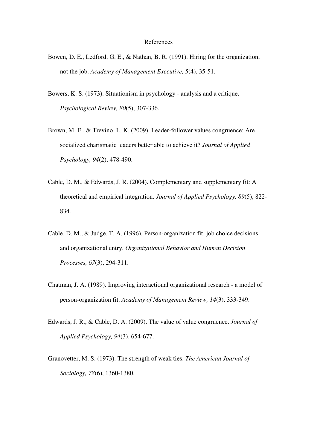#### References

- Bowen, D. E., Ledford, G. E., & Nathan, B. R. (1991). Hiring for the organization, not the job. *Academy of Management Executive, 5*(4), 35-51.
- Bowers, K. S. (1973). Situationism in psychology analysis and a critique. *Psychological Review, 80*(5), 307-336.
- Brown, M. E., & Trevino, L. K. (2009). Leader-follower values congruence: Are socialized charismatic leaders better able to achieve it? *Journal of Applied Psychology, 94*(2), 478-490.
- Cable, D. M., & Edwards, J. R. (2004). Complementary and supplementary fit: A theoretical and empirical integration. *Journal of Applied Psychology, 89*(5), 822- 834.
- Cable, D. M., & Judge, T. A. (1996). Person-organization fit, job choice decisions, and organizational entry. *Organizational Behavior and Human Decision Processes, 67*(3), 294-311.
- Chatman, J. A. (1989). Improving interactional organizational research a model of person-organization fit. *Academy of Management Review, 14*(3), 333-349.
- Edwards, J. R., & Cable, D. A. (2009). The value of value congruence. *Journal of Applied Psychology, 94*(3), 654-677.
- Granovetter, M. S. (1973). The strength of weak ties. *The American Journal of Sociology, 78*(6), 1360-1380.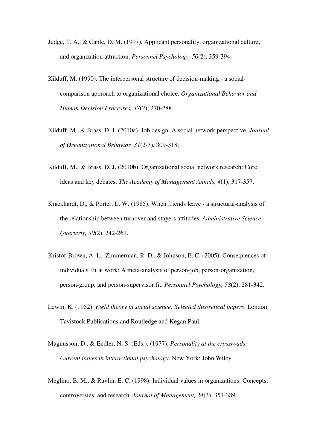- Judge, T. A., & Cable, D. M. (1997). Applicant personality, organizational culture, and organization attraction. *Personnel Psychology, 50*(2), 359-394.
- Kilduff, M. (1990). The interpersonal structure of decision-making a socialcomparison approach to organizational choice. *Organizational Behavior and Human Decision Processes, 47*(2), 270-288.
- Kilduff, M., & Brass, D. J. (2010a). Job design: A social network perspective. *Journal of Organizational Behavior, 31*(2-3), 309-318.
- Kilduff, M., & Brass, D. J. (2010b). Organizational social network research: Core ideas and key debates. *The Academy of Management Annals, 4*(1), 317-357.
- Krackhardt, D., & Porter, L. W. (1985). When friends leave a structural-analysis of the relationship between turnover and stayers attitudes. *Administrative Science Quarterly, 30*(2), 242-261.
- Kristof-Brown, A. L., Zimmerman, R. D., & Johnson, E. C. (2005). Consequences of individuals' fit at work: A meta-analysis of person-job, person-organization, person-group, and person-supervisor fit. *Personnel Psychology, 58*(2), 281-342.
- Lewin, K. (1952). *Field theory in social science: Selected theoretical papers*. London: Tavistock Publications and Routledge and Kegan Paul.
- Magnusson, D., & Endler, N. S. (Eds.). (1977). *Personality at the crossroads: Current issues in interactional psychology*. New York: John Wiley.
- Meglino, B. M., & Ravlin, E. C. (1998). Individual values in organizations: Concepts, controversies, and research. *Journal of Management, 24*(3), 351-389.